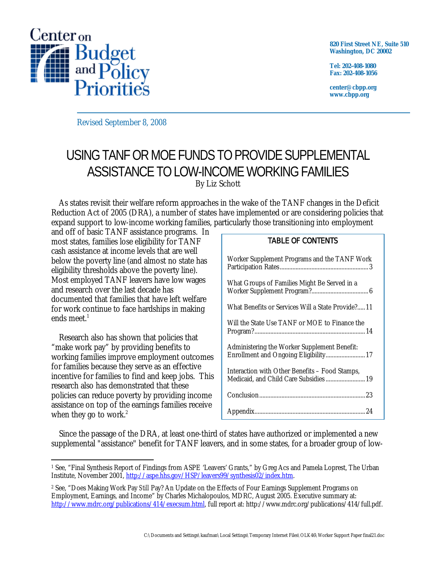

**820 First Street NE, Suite 510 Washington, DC 20002** 

**Tel: 202-408-1080 Fax: 202-408-1056** 

**center@cbpp.org www.cbpp.org** 

Revised September 8, 2008

# USING TANF OR MOE FUNDS TO PROVIDE SUPPLEMENTAL ASSISTANCE TO LOW-INCOME WORKING FAMILIES By Liz Schott

As states revisit their welfare reform approaches in the wake of the TANF changes in the Deficit Reduction Act of 2005 (DRA), a number of states have implemented or are considering policies that expand support to low-income working families, particularly those transitioning into employment

and off of basic TANF assistance programs. In most states, families lose eligibility for TANF cash assistance at income levels that are well below the poverty line (and almost no state has eligibility thresholds above the poverty line). Most employed TANF leavers have low wages and research over the last decade has documented that families that have left welfare for work continue to face hardships in making ends meet. $<sup>1</sup>$ </sup>

Research also has shown that policies that "make work pay" by providing benefits to working families improve employment outcomes for families because they serve as an effective incentive for families to find and keep jobs. This research also has demonstrated that these policies can reduce poverty by providing income assistance on top of the earnings families receive when they go to work. $2$ 

## TABLE OF CONTENTS

| Worker Supplement Programs and the TANF Work                                             |
|------------------------------------------------------------------------------------------|
| What Groups of Families Might Be Served in a                                             |
| What Benefits or Services Will a State Provide? 11                                       |
| Will the State Use TANF or MOE to Finance the                                            |
| Administering the Worker Supplement Benefit:<br>Enrollment and Ongoing Eligibility 17    |
| Interaction with Other Benefits - Food Stamps,<br>Medicaid, and Child Care Subsidies  19 |
|                                                                                          |
|                                                                                          |

Since the passage of the DRA, at least one-third of states have authorized or implemented a new supplemental "assistance" benefit for TANF leavers, and in some states, for a broader group of low-

 $\overline{a}$ 1 See, "Final Synthesis Report of Findings from ASPE 'Leavers' Grants," by Greg Acs and Pamela Loprest, The Urban Institute, November 2001, http://aspe.hhs.gov/HSP/leavers99/synthesis02/index.htm.

<sup>2</sup> See, "Does Making Work Pay *Still* Pay? An Update on the Effects of Four Earnings Supplement Programs on Employment, Earnings, and Income" by Charles Michalopoulos, MDRC, August 2005. Executive summary at: http://www.mdrc.org/publications/414/execsum.html, full report at: http://www.mdrc.org/publications/414/full.pdf.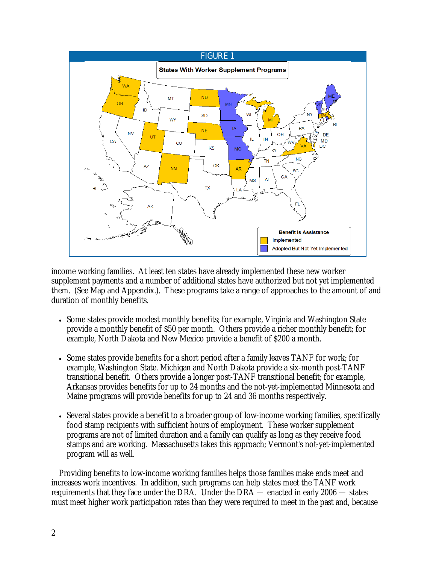

income working families. At least ten states have already implemented these new worker supplement payments and a number of additional states have authorized but not yet implemented them. (See Map and Appendix.). These programs take a range of approaches to the amount of and duration of monthly benefits.

- Some states provide modest monthly benefits; for example, Virginia and Washington State provide a monthly benefit of \$50 per month. Others provide a richer monthly benefit; for example, North Dakota and New Mexico provide a benefit of \$200 a month.
- Some states provide benefits for a short period after a family leaves TANF for work; for example, Washington State. Michigan and North Dakota provide a six-month post-TANF transitional benefit. Others provide a longer post-TANF transitional benefit; for example, Arkansas provides benefits for up to 24 months and the not-yet-implemented Minnesota and Maine programs will provide benefits for up to 24 and 36 months respectively.
- Several states provide a benefit to a broader group of low-income working families, specifically food stamp recipients with sufficient hours of employment. These worker supplement programs are not of limited duration and a family can qualify as long as they receive food stamps and are working. Massachusetts takes this approach; Vermont's not-yet-implemented program will as well.

Providing benefits to low-income working families helps those families make ends meet and increases work incentives. In addition, such programs can help states meet the TANF work requirements that they face under the DRA. Under the DRA — enacted in early 2006 — states must meet higher work participation rates than they were required to meet in the past and, because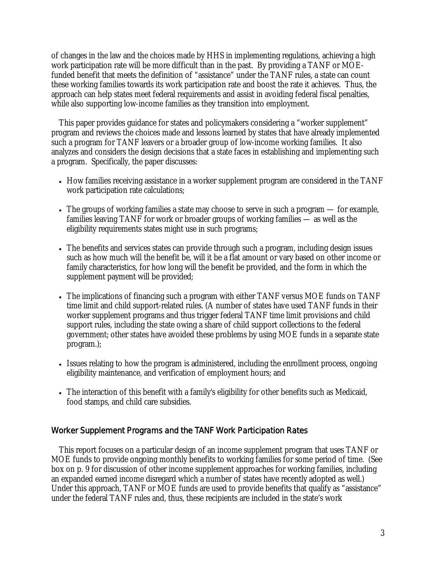of changes in the law and the choices made by HHS in implementing regulations, achieving a high work participation rate will be more difficult than in the past. By providing a TANF or MOEfunded benefit that meets the definition of "assistance" under the TANF rules, a state can count these working families towards its work participation rate and boost the rate it achieves. Thus, the approach can help states meet federal requirements and assist in avoiding federal fiscal penalties, while also supporting low-income families as they transition into employment.

This paper provides guidance for states and policymakers considering a "worker supplement" program and reviews the choices made and lessons learned by states that have already implemented such a program for TANF leavers or a broader group of low-income working families. It also analyzes and considers the design decisions that a state faces in establishing and implementing such a program. Specifically, the paper discusses:

- How families receiving assistance in a worker supplement program are considered in the TANF work participation rate calculations;
- The groups of working families a state may choose to serve in such a program for example, families leaving TANF for work or broader groups of working families — as well as the eligibility requirements states might use in such programs;
- The benefits and services states can provide through such a program, including design issues such as how much will the benefit be, will it be a flat amount or vary based on other income or family characteristics, for how long will the benefit be provided, and the form in which the supplement payment will be provided;
- The implications of financing such a program with either TANF versus MOE funds on TANF time limit and child support-related rules. (A number of states have used TANF funds in their worker supplement programs and thus trigger federal TANF time limit provisions and child support rules, including the state owing a share of child support collections to the federal government; other states have avoided these problems by using MOE funds in a separate state program.);
- Issues relating to how the program is administered, including the enrollment process, ongoing eligibility maintenance, and verification of employment hours; and
- The interaction of this benefit with a family's eligibility for other benefits such as Medicaid, food stamps, and child care subsidies.

## Worker Supplement Programs and the TANF Work Participation Rates

This report focuses on a particular design of an income supplement program that uses TANF or MOE funds to provide ongoing monthly benefits to working families for some period of time. (See box on p. 9 for discussion of other income supplement approaches for working families, including an expanded earned income disregard which a number of states have recently adopted as well.) Under this approach, TANF or MOE funds are used to provide benefits that qualify as "assistance" under the federal TANF rules and, thus, these recipients are included in the state's work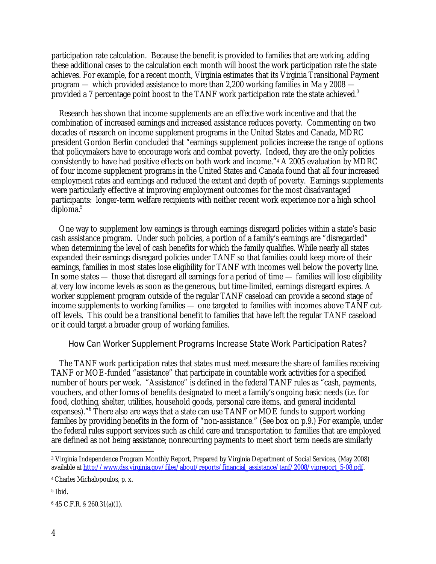participation rate calculation. Because the benefit is provided to families that are *working*, adding these additional cases to the calculation each month will boost the work participation rate the state achieves. For example, for a recent month, Virginia estimates that its Virginia Transitional Payment program — which provided assistance to more than 2,200 working families in Ma y 2008 provided a 7 percentage point boost to the TANF work participation rate the state achieved.<sup>3</sup>

Research has shown that income supplements are an effective work incentive and that the combination of increased earnings and increased assistance reduces poverty. Commenting on two decades of research on income supplement programs in the United States and Canada, MDRC president Gordon Berlin concluded that "earnings supplement policies increase the range of options that policymakers have to encourage work and combat poverty. Indeed, they are the only policies consistently to have had positive effects on both work and income."4 A 2005 evaluation by MDRC of four income supplement programs in the United States and Canada found that all four increased employment rates and earnings and reduced the extent and depth of poverty. Earnings supplements were particularly effective at improving employment outcomes for the most disadvantaged participants: longer-term welfare recipients with neither recent work experience nor a high school  $diploma.<sup>5</sup>$ 

One way to supplement low earnings is through earnings disregard policies within a state's basic cash assistance program. Under such policies, a portion of a family's earnings are "disregarded" when determining the level of cash benefits for which the family qualifies. While nearly all states expanded their earnings disregard policies under TANF so that families could keep more of their earnings, families in most states lose eligibility for TANF with incomes well below the poverty line. In some states — those that disregard all earnings for a period of time — families will lose eligibility at very low income levels as soon as the generous, but time-limited, earnings disregard expires. A worker supplement program outside of the regular TANF caseload can provide a second stage of income supplements to working families — one targeted to families with incomes above TANF cutoff levels. This could be a transitional benefit to families that have left the regular TANF caseload or it could target a broader group of working families.

## How Can Worker Supplement Programs Increase State Work Participation Rates?

The TANF work participation rates that states must meet measure the share of families receiving TANF or MOE-funded "assistance" that participate in countable work activities for a specified number of hours per week. "Assistance" is defined in the federal TANF rules as "cash, payments, vouchers, and other forms of benefits designated to meet a family's ongoing basic needs (i.e. for food, clothing, shelter, utilities, household goods, personal care items, and general incidental expanses)."<sup>6</sup> There also are ways that a state can use TANF or MOE funds to support working families by providing benefits in the form of "non-assistance." (See box on p.9.) For example, under the federal rules support services such as child care and transportation to families that are employed are defined as not being assistance; nonrecurring payments to meet short term needs are similarly

 $\overline{a}$ 3 Virginia Independence Program Monthly Report, Prepared by Virginia Department of Social Services, (May 2008) available at http://www.dss.virginia.gov/files/about/reports/financial\_assistance/tanf/2008/vipreport\_5-08.pdf.

<sup>4</sup> Charles Michalopoulos, p. x.

<sup>5</sup> Ibid.

<sup>6 45</sup> C.F.R. § 260.31(a)(1).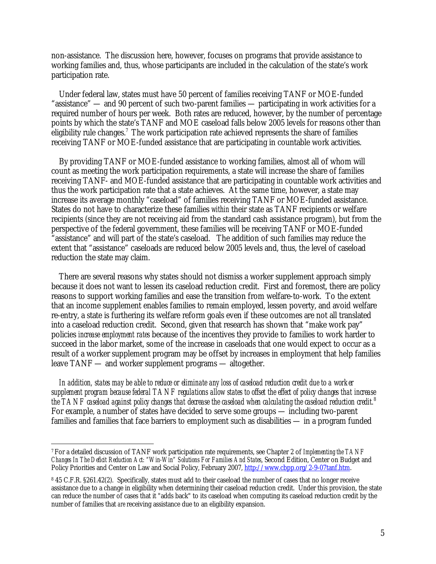non-assistance. The discussion here, however, focuses on programs that provide assistance to working families and, thus, whose participants are included in the calculation of the state's work participation rate.

Under federal law, states must have 50 percent of families receiving TANF or MOE-funded "assistance" — and 90 percent of such two-parent families — participating in work activities for a required number of hours per week. Both rates are reduced, however, by the number of percentage points by which the state's TANF and MOE caseload falls below 2005 levels for reasons other than eligibility rule changes.<sup>7</sup> The work participation rate achieved represents the share of families receiving TANF or MOE-funded assistance that are participating in countable work activities.

By providing TANF or MOE-funded assistance to working families, almost all of whom will count as meeting the work participation requirements, a state will increase the share of families receiving TANF- and MOE-funded assistance that are participating in countable work activities and thus the work participation rate that a state achieves. At the same time, however, a state may increase its average monthly "caseload" of families receiving TANF or MOE-funded assistance. States do not have to characterize these families *within* their state as TANF recipients or welfare recipients (since they are not receiving aid from the standard cash assistance program), but from the perspective of the federal government, these families will be receiving TANF or MOE-funded "assistance" and will part of the state's caseload. The addition of such families may reduce the extent that "assistance" caseloads are reduced below 2005 levels and, thus, the level of caseload reduction the state may claim.

There are several reasons why states should not dismiss a worker supplement approach simply because it does not want to lessen its caseload reduction credit. First and foremost, there are policy reasons to support working families and ease the transition from welfare-to-work. To the extent that an income supplement enables families to remain employed, lessen poverty, and avoid welfare re-entry, a state is furthering its welfare reform goals even if these outcomes are not all translated into a caseload reduction credit. Second, given that research has shown that "make work pay" policies *increase employment rates* because of the incentives they provide to families to work harder to succeed in the labor market, some of the increase in caseloads that one would expect to occur as a result of a worker supplement program may be offset by increases in employment that help families leave TANF — and worker supplement programs — altogether.

*In addition, states may be able to reduce or eliminate any loss of caseload reduction credit due to a worker supplement program because federal TANF regulations allow states to offset the effect of policy changes that increase the TANF caseload against policy changes that decrease the caseload when calculating the caseload reduction credit.*<sup>8</sup> For example, a number of states have decided to serve some groups — including two-parent families and families that face barriers to employment such as disabilities — in a program funded

-

<sup>7</sup> For a detailed discussion of TANF work participation rate requirements, see Chapter 2 of *Implementing the TANF Changes In The Deficit Reduction Act: "Win-Win" Solutions For Families And States*, Second Edition, Center on Budget and Policy Priorities and Center on Law and Social Policy, February 2007, http://www.cbpp.org/2-9-07tanf.htm.

<sup>8 45</sup> C.F.R. §261.42(2). Specifically, states must add to their caseload the number of cases that no longer receive assistance due to a change in eligibility when determining their caseload reduction credit. Under this provision, the state can reduce the number of cases that it "adds back" to its caseload when computing its caseload reduction credit by the number of families that *are* receiving assistance due to an eligibility expansion.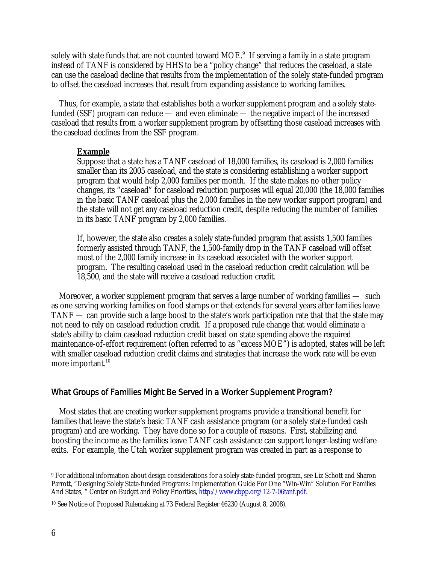solely with state funds that are not counted toward MOE. $^{9}$  If serving a family in a state program instead of TANF is considered by HHS to be a "policy change" that reduces the caseload, a state can use the caseload decline that results from the implementation of the solely state-funded program to offset the caseload increases that result from expanding assistance to working families.

Thus, for example, a state that establishes both a worker supplement program and a solely statefunded (SSF) program can reduce — and even eliminate — the negative impact of the increased caseload that results from a worker supplement program by offsetting those caseload increases with the caseload declines from the SSF program.

## **Example**

Suppose that a state has a TANF caseload of 18,000 families, its caseload is 2,000 families smaller than its 2005 caseload, and the state is considering establishing a worker support program that would help 2,000 families per month. If the state makes no other policy changes, its "caseload" for caseload reduction purposes will equal 20,000 (the 18,000 families in the basic TANF caseload plus the 2,000 families in the new worker support program) and the state will not get any caseload reduction credit, despite reducing the number of families in its basic TANF program by 2,000 families.

If, however, the state also creates a solely state-funded program that assists 1,500 families formerly assisted through TANF, the 1,500-family drop in the TANF caseload will offset most of the 2,000 family increase in its caseload associated with the worker support program. The resulting caseload used in the caseload reduction credit calculation will be 18,500, and the state will receive a caseload reduction credit.

Moreover, a worker supplement program that serves a large number of working families — such as one serving working families on food stamps or that extends for several years after families leave TANF — can provide such a large boost to the state's work participation rate that that the state may not need to rely on caseload reduction credit. If a proposed rule change that would eliminate a state's ability to claim caseload reduction credit based on state spending above the required maintenance-of-effort requirement (often referred to as "excess MOE") is adopted, states will be left with smaller caseload reduction credit claims and strategies that increase the work rate will be even more important.<sup>10</sup>

## What Groups of Families Might Be Served in a Worker Supplement Program?

Most states that are creating worker supplement programs provide a transitional benefit for families that leave the state's basic TANF cash assistance program (or a solely state-funded cash program) and are working. They have done so for a couple of reasons. First, stabilizing and boosting the income as the families leave TANF cash assistance can support longer-lasting welfare exits. For example, the Utah worker supplement program was created in part as a response to

<sup>-</sup>9 For additional information about design considerations for a solely state-funded program, see Liz Schott and Sharon Parrott, "Designing Solely State-funded Programs: Implementation Guide For One "Win-Win" Solution For Families And States, " Center on Budget and Policy Priorities, http://www.cbpp.org/12-7-06tanf.pdf.

<sup>10</sup> See Notice of Proposed Rulemaking at 73 Federal Register 46230 (August 8, 2008).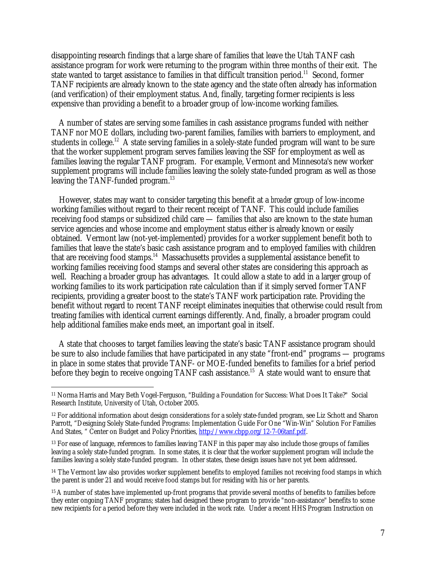disappointing research findings that a large share of families that leave the Utah TANF cash assistance program for work were returning to the program within three months of their exit. The state wanted to target assistance to families in that difficult transition period.<sup>11</sup> Second, former TANF recipients are already known to the state agency and the state often already has information (and verification) of their employment status. And, finally, targeting former recipients is less expensive than providing a benefit to a broader group of low-income working families.

A number of states are serving some families in cash assistance programs funded with neither TANF nor MOE dollars, including two-parent families, families with barriers to employment, and students in college.<sup>12</sup> A state serving families in a solely-state funded program will want to be sure that the worker supplement program serves families leaving the SSF for employment as well as families leaving the regular TANF program. For example, Vermont and Minnesota's new worker supplement programs will include families leaving the solely state-funded program as well as those leaving the TANF-funded program.<sup>13</sup>

However, states may want to consider targeting this benefit at a *broader* group of low-income working families without regard to their recent receipt of TANF. This could include families receiving food stamps or subsidized child care — families that also are known to the state human service agencies and whose income and employment status either is already known or easily obtained. Vermont law (not-yet-implemented) provides for a worker supplement benefit both to families that leave the state's basic cash assistance program and to employed families with children that are receiving food stamps.14 Massachusetts provides a supplemental assistance benefit to working families receiving food stamps and several other states are considering this approach as well. Reaching a broader group has advantages. It could allow a state to add in a larger group of working families to its work participation rate calculation than if it simply served former TANF recipients, providing a greater boost to the state's TANF work participation rate. Providing the benefit without regard to recent TANF receipt eliminates inequities that otherwise could result from treating families with identical current earnings differently. And, finally, a broader program could help additional families make ends meet, an important goal in itself.

A state that chooses to target families leaving the state's basic TANF assistance program should be sure to also include families that have participated in any state "front-end" programs — programs in place in some states that provide TANF- or MOE-funded benefits to families for a brief period before they begin to receive ongoing TANF cash assistance.<sup>15</sup> A state would want to ensure that

-

<sup>11</sup> Norma Harris and Mary Beth Vogel-Ferguson, "Building a Foundation for Success: What Does It Take?" Social Research Institute, University of Utah, October 2005.

<sup>12</sup> For additional information about design considerations for a solely state-funded program, see Liz Schott and Sharon Parrott, "Designing Solely State-funded Programs: Implementation Guide For One "Win-Win" Solution For Families And States, " Center on Budget and Policy Priorities, http://www.cbpp.org/12-7-06tanf.pdf.

<sup>&</sup>lt;sup>13</sup> For ease of language, references to families leaving TANF in this paper may also include those groups of families leaving a solely state-funded program. In some states, it is clear that the worker supplement program will include the families leaving a solely state-funded program. In other states, these design issues have not yet been addressed.

<sup>&</sup>lt;sup>14</sup> The Vermont law also provides worker supplement benefits to employed families not receiving food stamps in which the parent is under 21 and would receive food stamps but for residing with his or her parents.

<sup>15</sup> A number of states have implemented up-front programs that provide several months of benefits to families before they enter ongoing TANF programs; states had designed these program to provide "non-assistance" benefits to some new recipients for a period before they were included in the work rate. Under a recent HHS Program Instruction on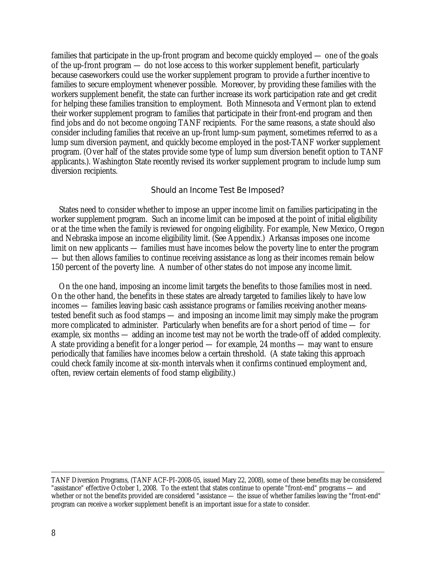families that participate in the up-front program and become quickly employed — one of the goals of the up-front program — do not lose access to this worker supplement benefit, particularly because caseworkers could use the worker supplement program to provide a further incentive to families to secure employment whenever possible. Moreover, by providing these families with the workers supplement benefit, the state can further increase its work participation rate and get credit for helping these families transition to employment. Both Minnesota and Vermont plan to extend their worker supplement program to families that participate in their front-end program and then find jobs and do not become ongoing TANF recipients. For the same reasons, a state should also consider including families that receive an up-front lump-sum payment, sometimes referred to as a lump sum diversion payment, and quickly become employed in the post-TANF worker supplement program. (Over half of the states provide some type of lump sum diversion benefit option to TANF applicants.). Washington State recently revised its worker supplement program to include lump sum diversion recipients.

#### Should an Income Test Be Imposed?

States need to consider whether to impose an upper income limit on families participating in the worker supplement program. Such an income limit can be imposed at the point of initial eligibility or at the time when the family is reviewed for ongoing eligibility. For example, New Mexico, Oregon and Nebraska impose an income eligibility limit. (See Appendix.) Arkansas imposes one income limit on new applicants — families must have incomes below the poverty line to enter the program — but then allows families to continue receiving assistance as long as their incomes remain below 150 percent of the poverty line. A number of other states do not impose any income limit.

On the one hand, imposing an income limit targets the benefits to those families most in need. On the other hand, the benefits in these states are already targeted to families likely to have low incomes — families leaving basic cash assistance programs or families receiving another meanstested benefit such as food stamps — and imposing an income limit may simply make the program more complicated to administer. Particularly when benefits are for a short period of time — for example, six months — adding an income test may not be worth the trade-off of added complexity. A state providing a benefit for a longer period — for example, 24 months — may want to ensure periodically that families have incomes below a certain threshold. (A state taking this approach could check family income at six-month intervals when it confirms continued employment and, often, review certain elements of food stamp eligibility.)

TANF Diversion Programs, (TANF ACF-PI-2008-05, issued Mary 22, 2008), some of these benefits may be considered "assistance" effective October 1, 2008. To the extent that states continue to operate "front-end" programs — and whether or not the benefits provided are considered "assistance — the issue of whether families leaving the "front-end" program can receive a worker supplement benefit is an important issue for a state to consider.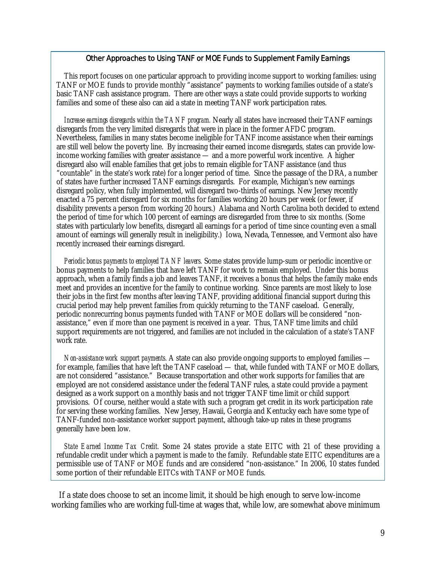#### Other Approaches to Using TANF or MOE Funds to Supplement Family Earnings

This report focuses on one particular approach to providing income support to working families: using TANF or MOE funds to provide monthly "assistance" payments to working families outside of a state's basic TANF cash assistance program. There are other ways a state could provide supports to working families and some of these also can aid a state in meeting TANF work participation rates.

*Increase earnings disregards within the TANF program.* Nearly all states have increased their TANF earnings disregards from the very limited disregards that were in place in the former AFDC program. Nevertheless, families in many states become ineligible for TANF income assistance when their earnings are still well below the poverty line. By increasing their earned income disregards, states can provide lowincome working families with greater assistance — and a more powerful work incentive. A higher disregard also will enable families that get jobs to remain eligible for TANF assistance (and thus "countable" in the state's work rate) for a longer period of time. Since the passage of the DRA, a number of states have further increased TANF earnings disregards. For example, Michigan's new earnings disregard policy, when fully implemented, will disregard two-thirds of earnings. New Jersey recently enacted a 75 percent disregard for six months for families working 20 hours per week (or fewer, if disability prevents a person from working 20 hours.) Alabama and North Carolina both decided to extend the period of time for which 100 percent of earnings are disregarded from three to six months. (Some states with particularly low benefits, disregard all earnings for a period of time since counting even a small amount of earnings will generally result in ineligibility.) Iowa, Nevada, Tennessee, and Vermont also have recently increased their earnings disregard.

*Periodic bonus payments to employed TANF leavers.* Some states provide lump-sum or periodic incentive or bonus payments to help families that have left TANF for work to remain employed. Under this bonus approach, when a family finds a job and leaves TANF, it receives a bonus that helps the family make ends meet and provides an incentive for the family to continue working. Since parents are most likely to lose their jobs in the first few months after leaving TANF, providing additional financial support during this crucial period may help prevent families from quickly returning to the TANF caseload. Generally, periodic nonrecurring bonus payments funded with TANF or MOE dollars will be considered "nonassistance," even if more than one payment is received in a year. Thus, TANF time limits and child support requirements are not triggered, and families are not included in the calculation of a state's TANF work rate.

*Non-assistance work support payments.* A state can also provide ongoing supports to employed families for example, families that have left the TANF caseload — that, while funded with TANF or MOE dollars, are not considered "assistance." Because transportation and other work supports for families that are employed are not considered assistance under the federal TANF rules, a state could provide a payment designed as a work support on a monthly basis and not trigger TANF time limit or child support provisions. Of course, neither would a state with such a program get credit in its work participation rate for serving these working families. New Jersey, Hawaii, Georgia and Kentucky each have some type of TANF-funded non-assistance worker support payment, although take-up rates in these programs generally have been low.

*State Earned Income Tax Credit.* Some 24 states provide a state EITC with 21 of these providing a refundable credit under which a payment is made to the family. Refundable state EITC expenditures are a permissible use of TANF or MOE funds and are considered "non-assistance." In 2006, 10 states funded some portion of their refundable EITCs with TANF or MOE funds.

If a state does choose to set an income limit, it should be high enough to serve low-income working families who are working full-time at wages that, while low, are somewhat above minimum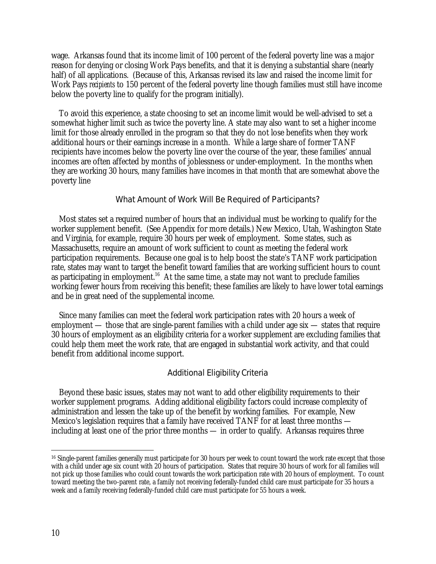wage. Arkansas found that its income limit of 100 percent of the federal poverty line was a major reason for denying or closing Work Pays benefits, and that it is denying a substantial share (nearly half) of all applications. (Because of this, Arkansas revised its law and raised the income limit for Work Pays *recipients* to 150 percent of the federal poverty line though families must still have income below the poverty line to qualify for the program initially).

To avoid this experience, a state choosing to set an income limit would be well-advised to set a somewhat higher limit such as twice the poverty line. A state may also want to set a higher income limit for those already enrolled in the program so that they do not lose benefits when they work additional hours or their earnings increase in a month. While a large share of former TANF recipients have incomes below the poverty line over the course of the year, these families' annual incomes are often affected by months of joblessness or under-employment. In the months when they are working 30 hours, many families have incomes in that month that are somewhat above the poverty line

#### What Amount of Work Will Be Required of Participants?

Most states set a required number of hours that an individual must be working to qualify for the worker supplement benefit. (See Appendix for more details.) New Mexico, Utah, Washington State and Virginia, for example, require 30 hours per week of employment. Some states, such as Massachusetts, require an amount of work sufficient to count as meeting the federal work participation requirements. Because one goal is to help boost the state's TANF work participation rate, states may want to target the benefit toward families that are working sufficient hours to count as participating in employment.<sup>16</sup> At the same time, a state may not want to preclude families working fewer hours from receiving this benefit; these families are likely to have lower total earnings and be in great need of the supplemental income.

Since many families can meet the federal work participation rates with 20 hours a week of employment — those that are single-parent families with a child under age six — states that require 30 hours of employment as an eligibility criteria for a worker supplement are excluding families that could help them meet the work rate, that are engaged in substantial work activity, and that could benefit from additional income support.

#### Additional Eligibility Criteria

Beyond these basic issues, states may not want to add other eligibility requirements to their worker supplement programs. Adding additional eligibility factors could increase complexity of administration and lessen the take up of the benefit by working families. For example, New Mexico's legislation requires that a family have received TANF for at least three months including at least one of the prior three months — in order to qualify. Arkansas requires three

-

<sup>&</sup>lt;sup>16</sup> Single-parent families generally must participate for 30 hours per week to count toward the work rate except that those with a child under age six count with 20 hours of participation. States that require 30 hours of work for all families will not pick up those families who could count towards the work participation rate with 20 hours of employment. To count toward meeting the two-parent rate, a family not receiving federally-funded child care must participate for 35 hours a week and a family receiving federally-funded child care must participate for 55 hours a week.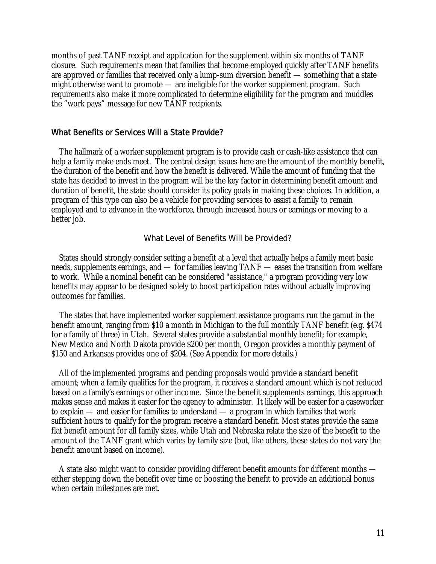months of past TANF receipt and application for the supplement within six months of TANF closure. Such requirements mean that families that become employed quickly after TANF benefits are approved or families that received only a lump-sum diversion benefit — something that a state might otherwise want to promote — are ineligible for the worker supplement program. Such requirements also make it more complicated to determine eligibility for the program and muddles the "work pays" message for new TANF recipients.

## What Benefits or Services Will a State Provide?

The hallmark of a worker supplement program is to provide cash or cash-like assistance that can help a family make ends meet. The central design issues here are the amount of the monthly benefit, the duration of the benefit and how the benefit is delivered. While the amount of funding that the state has decided to invest in the program will be the key factor in determining benefit amount and duration of benefit, the state should consider its policy goals in making these choices. In addition, a program of this type can also be a vehicle for providing services to assist a family to remain employed and to advance in the workforce, through increased hours or earnings or moving to a better job.

#### What Level of Benefits Will be Provided?

States should strongly consider setting a benefit at a level that actually helps a family meet basic needs, supplements earnings, and — for families leaving TANF — eases the transition from welfare to work. While a nominal benefit can be considered "assistance," a program providing very low benefits may appear to be designed solely to boost participation rates without actually improving outcomes for families.

The states that have implemented worker supplement assistance programs run the gamut in the benefit amount, ranging from \$10 a month in Michigan to the full monthly TANF benefit (e.g. \$474 for a family of three) in Utah. Several states provide a substantial monthly benefit; for example, New Mexico and North Dakota provide \$200 per month, Oregon provides a monthly payment of \$150 and Arkansas provides one of \$204. (See Appendix for more details.)

All of the implemented programs and pending proposals would provide a standard benefit amount; when a family qualifies for the program, it receives a standard amount which is not reduced based on a family's earnings or other income. Since the benefit supplements earnings, this approach makes sense and makes it easier for the agency to administer. It likely will be easier for a caseworker to explain — and easier for families to understand — a program in which families that work sufficient hours to qualify for the program receive a standard benefit. Most states provide the same flat benefit amount for all family sizes, while Utah and Nebraska relate the size of the benefit to the amount of the TANF grant which varies by family size (but, like others, these states do not vary the benefit amount based on income).

A state also might want to consider providing different benefit amounts for different months either stepping down the benefit over time or boosting the benefit to provide an additional bonus when certain milestones are met.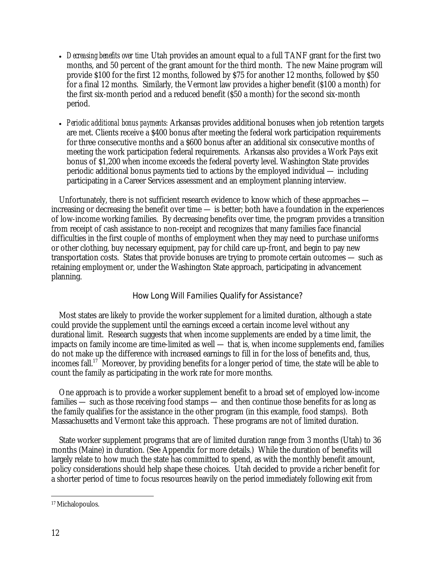- *Decreasing benefits over time:* Utah provides an amount equal to a full TANF grant for the first two months, and 50 percent of the grant amount for the third month. The new Maine program will provide \$100 for the first 12 months, followed by \$75 for another 12 months, followed by \$50 for a final 12 months. Similarly, the Vermont law provides a higher benefit (\$100 a month) for the first six-month period and a reduced benefit (\$50 a month) for the second six-month period.
- *Periodic additional bonus payments:* Arkansas provides additional bonuses when job retention targets are met. Clients receive a \$400 bonus after meeting the federal work participation requirements for three consecutive months and a \$600 bonus after an additional six consecutive months of meeting the work participation federal requirements. Arkansas also provides a Work Pays exit bonus of \$1,200 when income exceeds the federal poverty level. Washington State provides periodic additional bonus payments tied to actions by the employed individual — including participating in a Career Services assessment and an employment planning interview.

Unfortunately, there is not sufficient research evidence to know which of these approaches increasing or decreasing the benefit over time — is better; both have a foundation in the experiences of low-income working families. By decreasing benefits over time, the program provides a transition from receipt of cash assistance to non-receipt and recognizes that many families face financial difficulties in the first couple of months of employment when they may need to purchase uniforms or other clothing, buy necessary equipment, pay for child care up-front, and begin to pay new transportation costs. States that provide bonuses are trying to promote certain outcomes — such as retaining employment or, under the Washington State approach, participating in advancement planning.

## How Long Will Families Qualify for Assistance?

Most states are likely to provide the worker supplement for a limited duration, although a state could provide the supplement until the earnings exceed a certain income level without any durational limit. Research suggests that when income supplements are ended by a time limit, the impacts on family income are time-limited as well — that is, when income supplements end, families do not make up the difference with increased earnings to fill in for the loss of benefits and, thus, incomes fall.17 Moreover, by providing benefits for a longer period of time, the state will be able to count the family as participating in the work rate for more months.

One approach is to provide a worker supplement benefit to a broad set of employed low-income families — such as those receiving food stamps — and then continue those benefits for as long as the family qualifies for the assistance in the other program (in this example, food stamps). Both Massachusetts and Vermont take this approach. These programs are not of limited duration.

State worker supplement programs that are of limited duration range from 3 months (Utah) to 36 months (Maine) in duration. (See Appendix for more details.) While the duration of benefits will largely relate to how much the state has committed to spend, as with the monthly benefit amount, policy considerations should help shape these choices. Utah decided to provide a richer benefit for a shorter period of time to focus resources heavily on the period immediately following exit from

<sup>-</sup>17 Michalopoulos.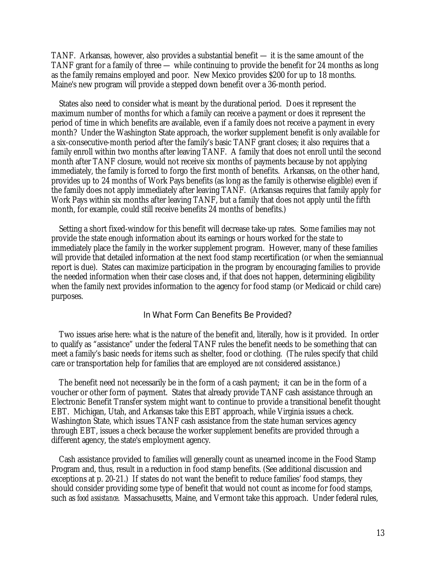TANF. Arkansas, however, also provides a substantial benefit — it is the same amount of the TANF grant for a family of three — while continuing to provide the benefit for 24 months as long as the family remains employed and poor. New Mexico provides \$200 for up to 18 months. Maine's new program will provide a stepped down benefit over a 36-month period.

States also need to consider what is meant by the durational period. Does it represent the maximum number of months for which a family can receive a payment or does it represent the period of time in which benefits are available, even if a family does not receive a payment in every month? Under the Washington State approach, the worker supplement benefit is only available for a six-consecutive-month period after the family's basic TANF grant closes; it also requires that a family enroll within two months after leaving TANF. A family that does not enroll until the second month after TANF closure, would not receive six months of payments because by not applying immediately, the family is forced to forgo the first month of benefits. Arkansas, on the other hand, provides up to 24 months of Work Pays benefits (as long as the family is otherwise eligible) even if the family does not apply immediately after leaving TANF. (Arkansas requires that family apply for Work Pays within six months after leaving TANF, but a family that does not apply until the fifth month, for example, could still receive benefits 24 months of benefits.)

Setting a short fixed-window for this benefit will decrease take-up rates. Some families may not provide the state enough information about its earnings or hours worked for the state to immediately place the family in the worker supplement program. However, many of these families will provide that detailed information at the next food stamp recertification (or when the semiannual report is due). States can maximize participation in the program by encouraging families to provide the needed information when their case closes and, if that does not happen, determining eligibility when the family next provides information to the agency for food stamp (or Medicaid or child care) purposes.

#### In What Form Can Benefits Be Provided?

Two issues arise here: what is the nature of the benefit and, literally, how is it provided. In order to qualify as "assistance" under the federal TANF rules the benefit needs to be something that can meet a family's basic needs for items such as shelter, food or clothing. (The rules specify that child care or transportation help for families that are employed are *not* considered assistance.)

The benefit need not necessarily be in the form of a cash payment; it can be in the form of a voucher or other form of payment. States that already provide TANF cash assistance through an Electronic Benefit Transfer system might want to continue to provide a transitional benefit thought EBT. Michigan, Utah, and Arkansas take this EBT approach, while Virginia issues a check. Washington State, which issues TANF cash assistance from the state human services agency through EBT, issues a check because the worker supplement benefits are provided through a different agency, the state's employment agency.

Cash assistance provided to families will generally count as unearned income in the Food Stamp Program and, thus, result in a reduction in food stamp benefits. (See additional discussion and exceptions at p. 20-21.) If states do not want the benefit to reduce families' food stamps, they should consider providing some type of benefit that would not count as income for food stamps, such as *food assistance*. Massachusetts, Maine, and Vermont take this approach. Under federal rules,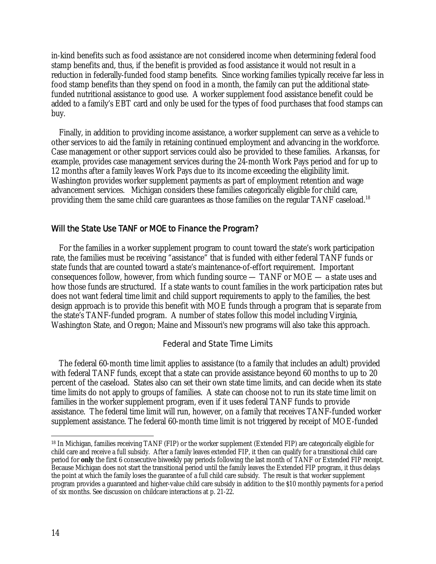in-kind benefits such as food assistance are not considered income when determining federal food stamp benefits and, thus, if the benefit is provided as food assistance it would not result in a reduction in federally-funded food stamp benefits. Since working families typically receive far less in food stamp benefits than they spend on food in a month, the family can put the additional statefunded nutritional assistance to good use. A worker supplement food assistance benefit could be added to a family's EBT card and only be used for the types of food purchases that food stamps can buy.

Finally, in addition to providing income assistance, a worker supplement can serve as a vehicle to other services to aid the family in retaining continued employment and advancing in the workforce. Case management or other support services could also be provided to these families. Arkansas, for example, provides case management services during the 24-month Work Pays period and for up to 12 months after a family leaves Work Pays due to its income exceeding the eligibility limit. Washington provides worker supplement payments as part of employment retention and wage advancement services. Michigan considers these families categorically eligible for child care, providing them the same child care guarantees as those families on the regular TANF caseload.<sup>18</sup>

## Will the State Use TANF or MOE to Finance the Program?

For the families in a worker supplement program to count toward the state's work participation rate, the families must be receiving "assistance" that is funded with either federal TANF funds or state funds that are counted toward a state's maintenance-of-effort requirement. Important consequences follow, however, from which funding source — TANF or MOE — a state uses and how those funds are structured. If a state wants to count families in the work participation rates but does not want federal time limit and child support requirements to apply to the families, the best design approach is to provide this benefit with MOE funds through a program that is separate from the state's TANF-funded program. A number of states follow this model including Virginia, Washington State, and Oregon; Maine and Missouri's new programs will also take this approach.

#### Federal and State Time Limits

The federal 60-month time limit applies to assistance (to a family that includes an adult) provided with federal TANF funds, except that a state can provide assistance beyond 60 months to up to 20 percent of the caseload. States also can set their own state time limits, and can decide when its state time limits do not apply to groups of families. A state can choose not to run its state time limit on families in the worker supplement program, even if it uses federal TANF funds to provide assistance. The federal time limit will run, however, on a family that receives TANF-funded worker supplement assistance. The federal 60-month time limit is not triggered by receipt of MOE-funded

<sup>-</sup>18 In Michigan, families receiving TANF (FIP) or the worker supplement (Extended FIP) are categorically eligible for child care and receive a full subsidy. After a family leaves extended FIP, it then can qualify for a transitional child care period for **only** the first 6 consecutive biweekly pay periods following the last month of TANF or Extended FIP receipt. Because Michigan does not start the transitional period until the family leaves the Extended FIP program, it thus delays the point at which the family loses the guarantee of a full child care subsidy. The result is that worker supplement program provides a guaranteed and higher-value child care subsidy in addition to the \$10 monthly payments for a period of six months. See discussion on childcare interactions at p. 21-22.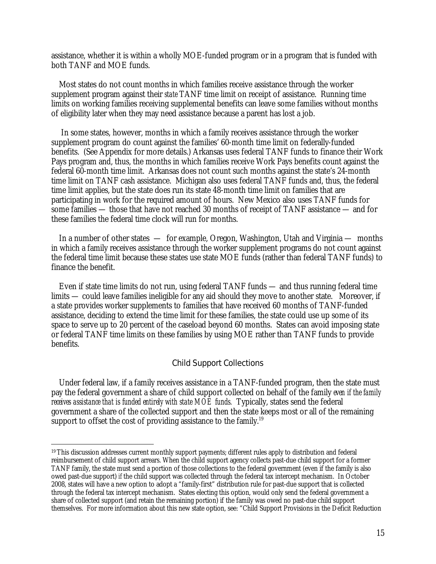assistance, whether it is within a wholly MOE-funded program or in a program that is funded with both TANF and MOE funds.

Most states do not count months in which families receive assistance through the worker supplement program against their *state* TANF time limit on receipt of assistance. Running time limits on working families receiving supplemental benefits can leave some families without months of eligibility later when they may need assistance because a parent has lost a job.

 In some states, however, months in which a family receives assistance through the worker supplement program do count against the families' 60-month time limit on federally-funded benefits. (See Appendix for more details.) Arkansas uses federal TANF funds to finance their Work Pays program and, thus, the months in which families receive Work Pays benefits count against the federal 60-month time limit. Arkansas does not count such months against the state's 24-month time limit on TANF cash assistance. Michigan also uses federal TANF funds and, thus, the federal time limit applies, but the state does run its state 48-month time limit on families that are participating in work for the required amount of hours. New Mexico also uses TANF funds for some families — those that have not reached 30 months of receipt of TANF assistance — and for these families the federal time clock will run for months.

In a number of other states — for example, Oregon, Washington, Utah and Virginia — months in which a family receives assistance through the worker supplement programs do not count against the federal time limit because these states use state MOE funds (rather than federal TANF funds) to finance the benefit.

Even if state time limits do not run, using federal TANF funds — and thus running federal time limits — could leave families ineligible for any aid should they move to another state. Moreover, if a state provides worker supplements to families that have received 60 months of TANF-funded assistance, deciding to extend the time limit for these families, the state could use up some of its space to serve up to 20 percent of the caseload beyond 60 months. States can avoid imposing state or federal TANF time limits on these families by using MOE rather than TANF funds to provide benefits.

#### Child Support Collections

Under federal law, if a family receives assistance in a TANF-funded program, then the state must pay the federal government a share of child support collected on behalf of the family *even if the family receives assistance that is funded entirely with state MOE funds.* Typically, states send the federal government a share of the collected support and then the state keeps most or all of the remaining support to offset the cost of providing assistance to the family.<sup>19</sup>

<sup>-</sup><sup>19</sup> This discussion addresses current monthly support payments; different rules apply to distribution and federal reimbursement of child support arrears. When the child support agency collects past-due child support for a former TANF family, the state must send a portion of those collections to the federal government (even if the family is also owed past-due support) *if* the child support was collected through the federal tax intercept mechanism. In October 2008, states will have a new option to adopt a "family-first" distribution rule for past-due support that is collected through the federal tax intercept mechanism. States electing this option, would only send the federal government a share of collected support (and retain the remaining portion) if the family was owed no past-due child support themselves. For more information about this new state option, see: "Child Support Provisions in the Deficit Reduction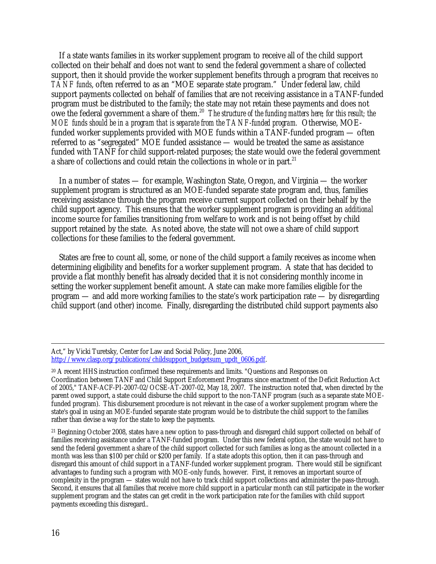If a state wants families in its worker supplement program to receive all of the child support collected on their behalf and does not want to send the federal government a share of collected support, then it should provide the worker supplement benefits through a program that receives *no TANF funds*, often referred to as an "MOE separate state program." Under federal law, child support payments collected on behalf of families that are not receiving assistance in a TANF-funded program must be distributed to the family; the state may not retain these payments and does not owe the federal government a share of them.20 *The structure of the funding matters here; for this result; the MOE funds should be in a program that is separate from the TANF-funded program.* Otherwise, MOEfunded worker supplements provided with MOE funds within a TANF-funded program — often referred to as "segregated" MOE funded assistance — would be treated the same as assistance funded with TANF for child support-related purposes; the state would owe the federal government a share of collections and could retain the collections in whole or in part.<sup>21</sup>

In a number of states — for example, Washington State, Oregon, and Virginia — the worker supplement program is structured as an MOE-funded separate state program and, thus, families receiving assistance through the program receive current support collected on their behalf by the child support agency. This ensures that the worker supplement program is providing an *additional* income source for families transitioning from welfare to work and is not being offset by child support retained by the state. As noted above, the state will not owe a share of child support collections for these families to the federal government.

States are free to count all, some, or none of the child support a family receives as income when determining eligibility and benefits for a worker supplement program. A state that has decided to provide a flat monthly benefit has already decided that it is not considering monthly income in setting the worker supplement benefit amount. A state can make more families eligible for the program — and add more working families to the state's work participation rate — by disregarding child support (and other) income. Finally, disregarding the distributed child support payments also

21 Beginning October 2008, states have a new option to pass-through and disregard child support collected on behalf of families receiving assistance under a TANF-funded program. Under this new federal option, the state would not have to send the federal government a share of the child support collected for such families as long as the amount collected in a month was less than \$100 per child or \$200 per family. If a state adopts this option, then it can pass-through and disregard this amount of child support in a TANF-funded worker supplement program. There would still be significant advantages to funding such a program with MOE-only funds, however. First, it removes an important source of complexity in the program — states would not have to track child support collections and administer the pass-through. Second, it ensures that all families that receive more child support in a particular month can still participate in the worker supplement program and the states can get credit in the work participation rate for the families with child support payments exceeding this disregard..

Act," by Vicki Turetsky, Center for Law and Social Policy, June 2006, http://www.clasp.org/publications/childsupport\_budgetsum\_updt\_0606.pdf.

<sup>20</sup> A recent HHS instruction confirmed these requirements and limits. "Questions and Responses on Coordination between TANF and Child Support Enforcement Programs since enactment of the Deficit Reduction Act of 2005," TANF-ACF-PI-2007-02/OCSE-AT-2007-02, May 18, 2007. The instruction noted that, when directed by the parent owed support, a state could disburse the child support to the non-TANF program (such as a separate state MOEfunded program). This disbursement procedure is not relevant in the case of a worker supplement program where the state's goal in using an MOE-funded separate state program would be to distribute the child support to the families rather than devise a way for the state to keep the payments.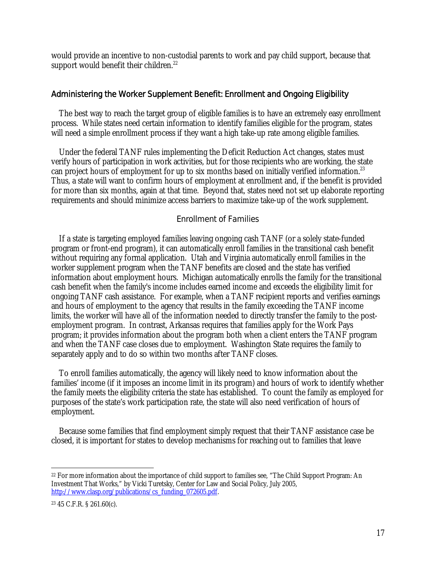would provide an incentive to non-custodial parents to work and pay child support, because that support would benefit their children.<sup>22</sup>

## Administering the Worker Supplement Benefit: Enrollment and Ongoing Eligibility

The best way to reach the target group of eligible families is to have an extremely easy enrollment process. While states need certain information to identify families eligible for the program, states will need a simple enrollment process if they want a high take-up rate among eligible families.

Under the federal TANF rules implementing the Deficit Reduction Act changes, states must verify hours of participation in work activities, but for those recipients who are working, the state can project hours of employment for up to six months based on initially verified information.<sup>23</sup> Thus, a state will want to confirm hours of employment at enrollment and, if the benefit is provided for more than six months, again at that time. Beyond that, states need not set up elaborate reporting requirements and should minimize access barriers to maximize take-up of the work supplement.

## Enrollment of Families

If a state is targeting employed families leaving ongoing cash TANF (or a solely state-funded program or front-end program), it can automatically enroll families in the transitional cash benefit without requiring any formal application. Utah and Virginia automatically enroll families in the worker supplement program when the TANF benefits are closed and the state has verified information about employment hours. Michigan automatically enrolls the family for the transitional cash benefit when the family's income includes earned income and exceeds the eligibility limit for ongoing TANF cash assistance. For example, when a TANF recipient reports and verifies earnings and hours of employment to the agency that results in the family exceeding the TANF income limits, the worker will have all of the information needed to directly transfer the family to the postemployment program. In contrast, Arkansas requires that families apply for the Work Pays program; it provides information about the program both when a client enters the TANF program and when the TANF case closes due to employment. Washington State requires the family to separately apply and to do so within two months after TANF closes.

To enroll families automatically, the agency will likely need to know information about the families' income (if it imposes an income limit in its program) and hours of work to identify whether the family meets the eligibility criteria the state has established. To count the family as employed for purposes of the state's work participation rate, the state will also need verification of hours of employment.

Because some families that find employment simply request that their TANF assistance case be closed, it is important for states to develop mechanisms for reaching out to families that leave

 $\overline{a}$ 22 For more information about the importance of child support to families see, "The Child Support Program: An Investment That Works," by Vicki Turetsky, Center for Law and Social Policy, July 2005, http://www.clasp.org/publications/cs\_funding\_072605.pdf.

<sup>23 45</sup> C.F.R. § 261.60(c).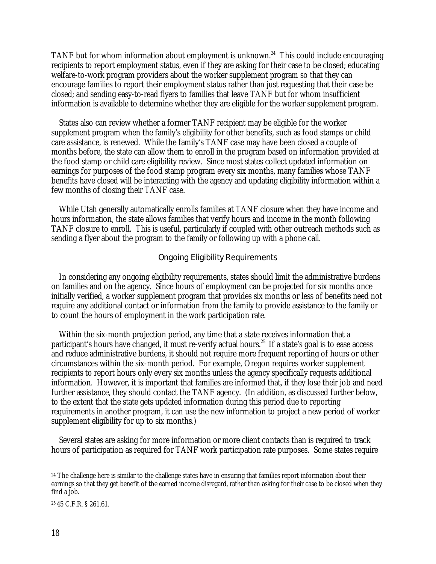TANF but for whom information about employment is unknown.<sup>24</sup> This could include encouraging recipients to report employment status, even if they are asking for their case to be closed; educating welfare-to-work program providers about the worker supplement program so that they can encourage families to report their employment status rather than just requesting that their case be closed; and sending easy-to-read flyers to families that leave TANF but for whom insufficient information is available to determine whether they are eligible for the worker supplement program.

States also can review whether a former TANF recipient may be eligible for the worker supplement program when the family's eligibility for other benefits, such as food stamps or child care assistance, is renewed. While the family's TANF case may have been closed a couple of months before, the state can allow them to enroll in the program based on information provided at the food stamp or child care eligibility review. Since most states collect updated information on earnings for purposes of the food stamp program every six months, many families whose TANF benefits have closed will be interacting with the agency and updating eligibility information within a few months of closing their TANF case.

While Utah generally automatically enrolls families at TANF closure when they have income and hours information, the state allows families that verify hours and income in the month following TANF closure to enroll. This is useful, particularly if coupled with other outreach methods such as sending a flyer about the program to the family or following up with a phone call.

#### Ongoing Eligibility Requirements

In considering any ongoing eligibility requirements, states should limit the administrative burdens on families and on the agency. Since hours of employment can be projected for six months once initially verified, a worker supplement program that provides six months or less of benefits need not require any additional contact or information from the family to provide assistance to the family or to count the hours of employment in the work participation rate.

Within the six-month projection period, any time that a state receives information that a participant's hours have changed, it must re-verify actual hours.25 If a state's goal is to ease access and reduce administrative burdens, it should not require more frequent reporting of hours or other circumstances within the six-month period. For example, Oregon requires worker supplement recipients to report hours only every six months unless the agency specifically requests additional information. However, it is important that families are informed that, if they lose their job and need further assistance, they should contact the TANF agency. (In addition, as discussed further below, to the extent that the state gets updated information during this period due to reporting requirements in another program, it can use the new information to project a new period of worker supplement eligibility for up to six months.)

Several states are asking for more information or more client contacts than is required to track hours of participation as required for TANF work participation rate purposes. Some states require

-

 $24$  The challenge here is similar to the challenge states have in ensuring that families report information about their earnings so that they get benefit of the earned income disregard, rather than asking for their case to be closed when they find a job.

<sup>25 45</sup> C.F.R. § 261.61.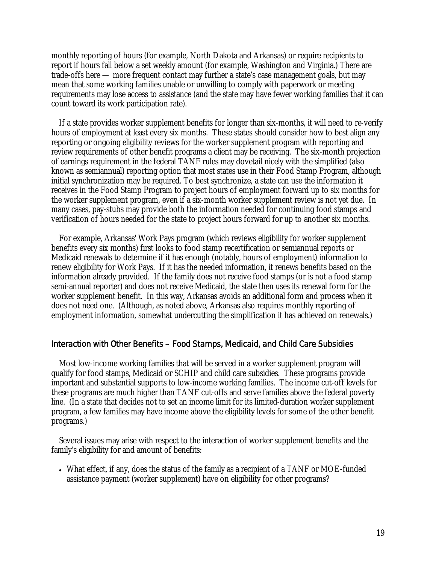monthly reporting of hours (for example, North Dakota and Arkansas) or require recipients to report if hours fall below a set weekly amount (for example, Washington and Virginia.) There are trade-offs here — more frequent contact may further a state's case management goals, but may mean that some working families unable or unwilling to comply with paperwork or meeting requirements may lose access to assistance (and the state may have fewer working families that it can count toward its work participation rate).

If a state provides worker supplement benefits for longer than six-months, it will need to re-verify hours of employment at least every six months. These states should consider how to best align any reporting or ongoing eligibility reviews for the worker supplement program with reporting and review requirements of other benefit programs a client may be receiving. The six-month projection of earnings requirement in the federal TANF rules may dovetail nicely with the simplified (also known as semiannual) reporting option that most states use in their Food Stamp Program, although initial synchronization may be required. To best synchronize, a state can use the information it receives in the Food Stamp Program to project hours of employment forward up to six months for the worker supplement program, even if a six-month worker supplement review is not yet due. In many cases, pay-stubs may provide both the information needed for continuing food stamps and verification of hours needed for the state to project hours forward for up to another six months.

For example, Arkansas' Work Pays program (which reviews eligibility for worker supplement benefits every six months) first looks to food stamp recertification or semiannual reports or Medicaid renewals to determine if it has enough (notably, hours of employment) information to renew eligibility for Work Pays. If it has the needed information, it renews benefits based on the information already provided. If the family does not receive food stamps (or is not a food stamp semi-annual reporter) and does not receive Medicaid, the state then uses its renewal form for the worker supplement benefit. In this way, Arkansas avoids an additional form and process when it does not need one. (Although, as noted above, Arkansas also requires monthly reporting of employment information, somewhat undercutting the simplification it has achieved on renewals.)

## Interaction with Other Benefits – Food Stamps, Medicaid, and Child Care Subsidies

Most low-income working families that will be served in a worker supplement program will qualify for food stamps, Medicaid or SCHIP and child care subsidies. These programs provide important and substantial supports to low-income working families. The income cut-off levels for these programs are much higher than TANF cut-offs and serve families above the federal poverty line. (In a state that decides not to set an income limit for its limited-duration worker supplement program, a few families may have income above the eligibility levels for some of the other benefit programs.)

Several issues may arise with respect to the interaction of worker supplement benefits and the family's eligibility for and amount of benefits:

• What effect, if any, does the status of the family as a recipient of a TANF or MOE-funded assistance payment (worker supplement) have on eligibility for other programs?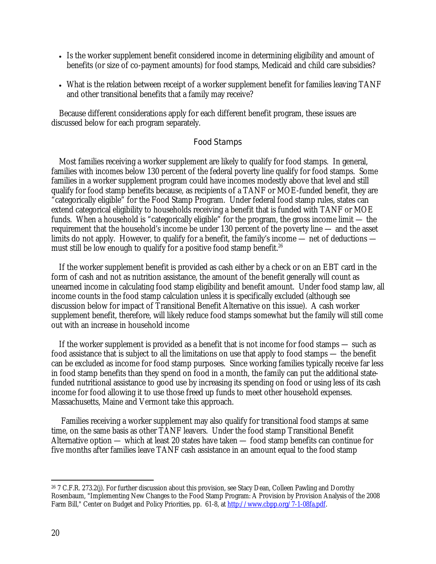- Is the worker supplement benefit considered income in determining eligibility and amount of benefits (or size of co-payment amounts) for food stamps, Medicaid and child care subsidies?
- What is the relation between receipt of a worker supplement benefit for families leaving TANF and other transitional benefits that a family may receive?

Because different considerations apply for each different benefit program, these issues are discussed below for each program separately.

#### Food Stamps

Most families receiving a worker supplement are likely to qualify for food stamps. In general, families with incomes below 130 percent of the federal poverty line qualify for food stamps. Some families in a worker supplement program could have incomes modestly above that level and still qualify for food stamp benefits because, as recipients of a TANF or MOE-funded benefit, they are "categorically eligible" for the Food Stamp Program. Under federal food stamp rules, states can extend categorical eligibility to households receiving a benefit that is funded with TANF or MOE funds. When a household is "categorically eligible" for the program, the gross income limit — the requirement that the household's income be under 130 percent of the poverty line — and the asset limits do not apply. However, to qualify for a benefit, the family's income — net of deductions must still be low enough to qualify for a positive food stamp benefit.<sup>26</sup>

If the worker supplement benefit is provided as cash either by a check or on an EBT card in the form of cash and not as nutrition assistance, the amount of the benefit generally will count as unearned income in calculating food stamp eligibility and benefit amount. Under food stamp law, all income counts in the food stamp calculation unless it is specifically excluded (although see discussion below for impact of Transitional Benefit Alternative on this issue). A cash worker supplement benefit, therefore, will likely reduce food stamps somewhat but the family will still come out with an increase in household income

If the worker supplement is provided as a benefit that is not income for food stamps — such as food assistance that is subject to all the limitations on use that apply to food stamps — the benefit can be excluded as income for food stamp purposes. Since working families typically receive far less in food stamp benefits than they spend on food in a month, the family can put the additional statefunded nutritional assistance to good use by increasing its spending on food or using less of its cash income for food allowing it to use those freed up funds to meet other household expenses. Massachusetts, Maine and Vermont take this approach.

 Families receiving a worker supplement may also qualify for transitional food stamps at same time, on the same basis as other TANF leavers. Under the food stamp Transitional Benefit Alternative option — which at least 20 states have taken — food stamp benefits can continue for five months after families leave TANF cash assistance in an amount equal to the food stamp

 $\overline{a}$ 26 7 C.F.R. 273.2(j). For further discussion about this provision, see Stacy Dean, Colleen Pawling and Dorothy Rosenbaum, "Implementing New Changes to the Food Stamp Program: A Provision by Provision Analysis of the 2008 Farm Bill," Center on Budget and Policy Priorities, pp. 61-8, at http://www.cbpp.org/7-1-08fa.pdf.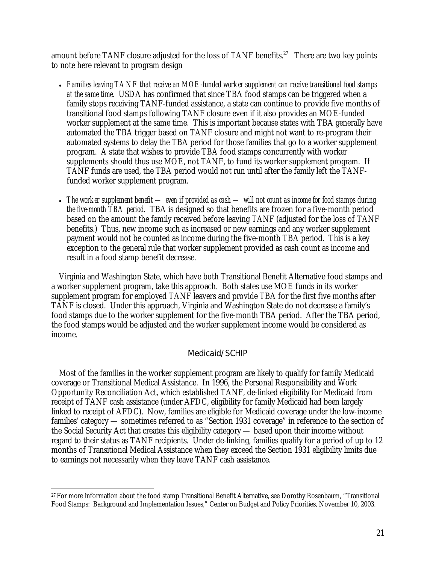amount before TANF closure adjusted for the loss of TANF benefits.<sup>27</sup> There are two key points to note here relevant to program design

- *Families leaving TANF that receive an MOE-funded worker supplement can receive transitional food stamps at the same time.* USDA has confirmed that since TBA food stamps can be triggered when a family stops receiving TANF-funded assistance, a state can continue to provide five months of transitional food stamps following TANF closure even if it also provides an MOE-funded worker supplement at the same time. This is important because states with TBA generally have automated the TBA trigger based on TANF closure and might not want to re-program their automated systems to delay the TBA period for those families that go to a worker supplement program. A state that wishes to provide TBA food stamps concurrently with worker supplements should thus use MOE, not TANF, to fund its worker supplement program. If TANF funds are used, the TBA period would not run until after the family left the TANFfunded worker supplement program.
- *The worker supplement benefit even if provided as cash will not count as income for food stamps during the five-month TBA period.* TBA is designed so that benefits are frozen for a five-month period based on the amount the family received before leaving TANF (adjusted for the loss of TANF benefits.) Thus, new income such as increased or new earnings and any worker supplement payment would not be counted as income during the five-month TBA period. This is a key exception to the general rule that worker supplement provided as cash count as income and result in a food stamp benefit decrease.

Virginia and Washington State, which have both Transitional Benefit Alternative food stamps and a worker supplement program, take this approach. Both states use MOE funds in its worker supplement program for employed TANF leavers and provide TBA for the first five months after TANF is closed. Under this approach, Virginia and Washington State do not decrease a family's food stamps due to the worker supplement for the five-month TBA period. After the TBA period, the food stamps would be adjusted and the worker supplement income would be considered as income.

## Medicaid/SCHIP

Most of the families in the worker supplement program are likely to qualify for family Medicaid coverage or Transitional Medical Assistance. In 1996, the Personal Responsibility and Work Opportunity Reconciliation Act, which established TANF, de-linked eligibility for Medicaid from receipt of TANF cash assistance (under AFDC, eligibility for family Medicaid had been largely linked to receipt of AFDC). Now, families are eligible for Medicaid coverage under the low-income families' category — sometimes referred to as "Section 1931 coverage" in reference to the section of the Social Security Act that creates this eligibility category — based upon their income without regard to their status as TANF recipients. Under de-linking, families qualify for a period of up to 12 months of Transitional Medical Assistance when they exceed the Section 1931 eligibility limits due to earnings not necessarily when they leave TANF cash assistance.

 $\overline{a}$ 27 For more information about the food stamp Transitional Benefit Alternative, see Dorothy Rosenbaum, "Transitional Food Stamps: Background and Implementation Issues," Center on Budget and Policy Priorities, November 10, 2003.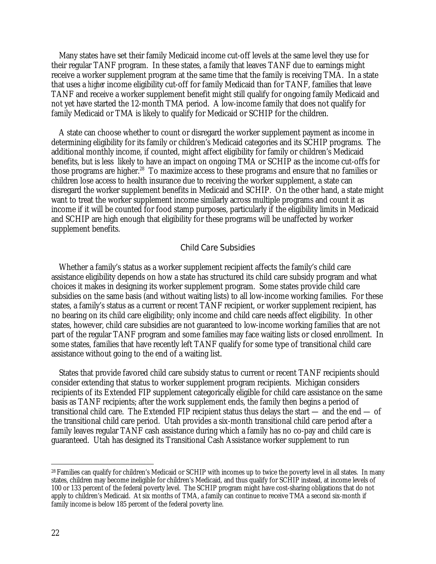Many states have set their family Medicaid income cut-off levels at the same level they use for their regular TANF program. In these states, a family that leaves TANF due to earnings might receive a worker supplement program at the same time that the family is receiving TMA. In a state that uses a *higher* income eligibility cut-off for family Medicaid than for TANF, families that leave TANF and receive a worker supplement benefit might still qualify for ongoing family Medicaid and not yet have started the 12-month TMA period. A low-income family that does not qualify for family Medicaid or TMA is likely to qualify for Medicaid or SCHIP for the children.

A state can choose whether to count or disregard the worker supplement payment as income in determining eligibility for its family or children's Medicaid categories and its SCHIP programs. The additional monthly income, if counted, might affect eligibility for family or children's Medicaid benefits, but is less likely to have an impact on ongoing TMA or SCHIP as the income cut-offs for those programs are higher.<sup>28</sup> To maximize access to these programs and ensure that no families or children lose access to health insurance due to receiving the worker supplement, a state can disregard the worker supplement benefits in Medicaid and SCHIP. On the other hand, a state might want to treat the worker supplement income similarly across multiple programs and count it as income if it will be counted for food stamp purposes, particularly if the eligibility limits in Medicaid and SCHIP are high enough that eligibility for these programs will be unaffected by worker supplement benefits.

#### Child Care Subsidies

Whether a family's status as a worker supplement recipient affects the family's child care assistance eligibility depends on how a state has structured its child care subsidy program and what choices it makes in designing its worker supplement program. Some states provide child care subsidies on the same basis (and without waiting lists) to all low-income working families. For these states, a family's status as a current or recent TANF recipient, or worker supplement recipient, has no bearing on its child care eligibility; only income and child care needs affect eligibility. In other states, however, child care subsidies are not guaranteed to low-income working families that are not part of the regular TANF program and some families may face waiting lists or closed enrollment. In some states, families that have recently left TANF qualify for some type of transitional child care assistance without going to the end of a waiting list.

States that provide favored child care subsidy status to current or recent TANF recipients should consider extending that status to worker supplement program recipients. Michigan considers recipients of its Extended FIP supplement categorically eligible for child care assistance on the same basis as TANF recipients; after the work supplement ends, the family then begins a period of transitional child care. The Extended FIP recipient status thus delays the start — and the end — of the transitional child care period. Utah provides a six-month transitional child care period after a family leaves regular TANF cash assistance during which a family has no co-pay and child care is guaranteed. Utah has designed its Transitional Cash Assistance worker supplement to run

 $\overline{a}$ 

<sup>28</sup> Families can qualify for children's Medicaid or SCHIP with incomes up to twice the poverty level in all states. In many states, children may become ineligible for children's Medicaid, and thus qualify for SCHIP instead, at income levels of 100 or 133 percent of the federal poverty level. The SCHIP program might have cost-sharing obligations that do not apply to children's Medicaid. At six months of TMA, a family can continue to receive TMA a second six-month if family income is below 185 percent of the federal poverty line.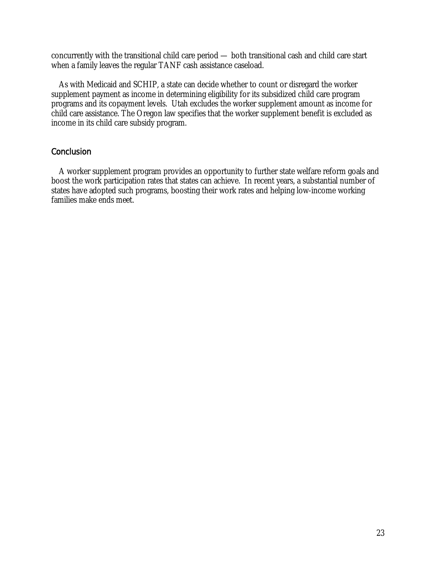concurrently with the transitional child care period — both transitional cash and child care start when a family leaves the regular TANF cash assistance caseload.

As with Medicaid and SCHIP, a state can decide whether to count or disregard the worker supplement payment as income in determining eligibility for its subsidized child care program programs and its copayment levels. Utah excludes the worker supplement amount as income for child care assistance. The Oregon law specifies that the worker supplement benefit is excluded as income in its child care subsidy program.

## **Conclusion**

A worker supplement program provides an opportunity to further state welfare reform goals and boost the work participation rates that states can achieve. In recent years, a substantial number of states have adopted such programs, boosting their work rates and helping low-income working families make ends meet.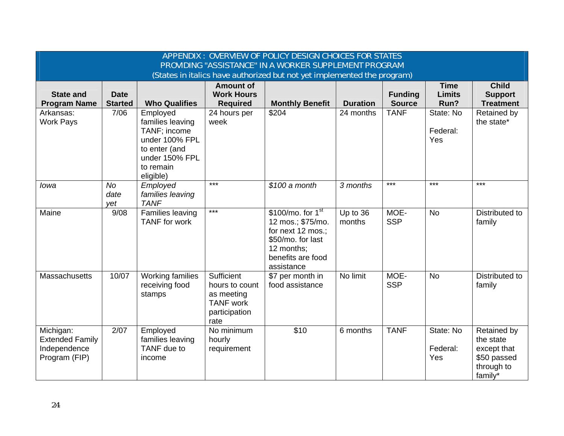| APPENDIX: OVERVIEW OF POLICY DESIGN CHOICES FOR STATES                  |                               |                                                                                                                             |                                                                                         |                                                                                                                                        |                    |                                 |                                      |                                                                                        |
|-------------------------------------------------------------------------|-------------------------------|-----------------------------------------------------------------------------------------------------------------------------|-----------------------------------------------------------------------------------------|----------------------------------------------------------------------------------------------------------------------------------------|--------------------|---------------------------------|--------------------------------------|----------------------------------------------------------------------------------------|
| PROVIDING "ASSISTANCE" IN A WORKER SUPPLEMENT PROGRAM                   |                               |                                                                                                                             |                                                                                         |                                                                                                                                        |                    |                                 |                                      |                                                                                        |
| (States in italics have authorized but not yet implemented the program) |                               |                                                                                                                             |                                                                                         |                                                                                                                                        |                    |                                 |                                      |                                                                                        |
| <b>State and</b><br><b>Program Name</b>                                 | <b>Date</b><br><b>Started</b> | <b>Who Qualifies</b>                                                                                                        | <b>Amount of</b><br><b>Work Hours</b><br><b>Required</b>                                | <b>Monthly Benefit</b>                                                                                                                 | <b>Duration</b>    | <b>Funding</b><br><b>Source</b> | <b>Time</b><br><b>Limits</b><br>Run? | <b>Child</b><br><b>Support</b><br><b>Treatment</b>                                     |
| Arkansas:<br><b>Work Pays</b>                                           | 7/06                          | Employed<br>families leaving<br>TANF; income<br>under 100% FPL<br>to enter (and<br>under 150% FPL<br>to remain<br>eligible) | 24 hours per<br>week                                                                    | \$204                                                                                                                                  | 24 months          | <b>TANF</b>                     | State: No<br>Federal:<br>Yes         | Retained by<br>the state*                                                              |
| lowa                                                                    | <b>No</b><br>date<br>yet      | Employed<br>families leaving<br><b>TANF</b>                                                                                 | $***$                                                                                   | $$100$ a month                                                                                                                         | 3 months           | $***$                           | $***$                                | $***$                                                                                  |
| Maine                                                                   | 9/08                          | Families leaving<br><b>TANF</b> for work                                                                                    | $***$                                                                                   | $$100/mol$ , for $1st$<br>12 mos.; \$75/mo.<br>for next 12 mos.;<br>\$50/mo. for last<br>12 months:<br>benefits are food<br>assistance | Up to 36<br>months | MOE-<br><b>SSP</b>              | <b>No</b>                            | Distributed to<br>family                                                               |
| Massachusetts                                                           | 10/07                         | Working families<br>receiving food<br>stamps                                                                                | Sufficient<br>hours to count<br>as meeting<br><b>TANF</b> work<br>participation<br>rate | \$7 per month in<br>food assistance                                                                                                    | No limit           | MOE-<br><b>SSP</b>              | <b>No</b>                            | Distributed to<br>family                                                               |
| Michigan:<br><b>Extended Family</b><br>Independence<br>Program (FIP)    | 2/07                          | Employed<br>families leaving<br>TANF due to<br>income                                                                       | No minimum<br>hourly<br>requirement                                                     | \$10                                                                                                                                   | 6 months           | <b>TANF</b>                     | State: No<br>Federal:<br>Yes         | <b>Retained by</b><br>the state<br>except that<br>\$50 passed<br>through to<br>family* |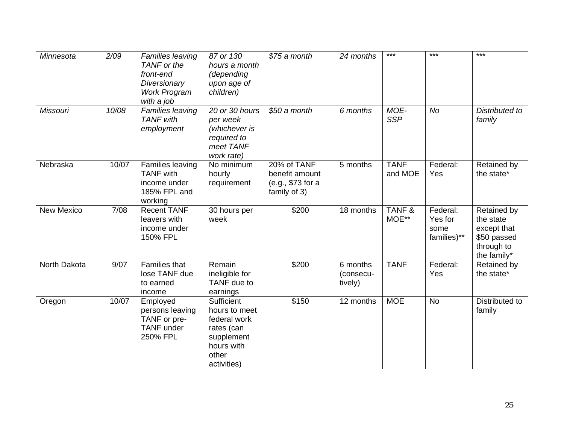| Minnesota         | 2/09  | Families leaving<br>TANF or the<br>front-end<br>Diversionary<br><b>Work Program</b><br>with a job | 87 or 130<br>hours a month<br>(depending<br>upon age of<br>children)                                          | \$75 a month                                                       | 24 months                        | $***$                  | $***$                                      | $***$                                                                               |
|-------------------|-------|---------------------------------------------------------------------------------------------------|---------------------------------------------------------------------------------------------------------------|--------------------------------------------------------------------|----------------------------------|------------------------|--------------------------------------------|-------------------------------------------------------------------------------------|
| <b>Missouri</b>   | 10/08 | Families leaving<br><b>TANF</b> with<br>employment                                                | 20 or 30 hours<br>per week<br>(whichever is<br>required to<br>meet TANF<br>work rate)                         | \$50 a month                                                       | 6 months                         | MOE-<br><b>SSP</b>     | <b>No</b>                                  | Distributed to<br>family                                                            |
| Nebraska          | 10/07 | Families leaving<br><b>TANF</b> with<br>income under<br>185% FPL and<br>working                   | No minimum<br>hourly<br>requirement                                                                           | 20% of TANF<br>benefit amount<br>(e.g., \$73 for a<br>family of 3) | 5 months                         | <b>TANF</b><br>and MOE | Federal:<br>Yes                            | Retained by<br>the state*                                                           |
| <b>New Mexico</b> | 7/08  | <b>Recent TANF</b><br>leavers with<br>income under<br>150% FPL                                    | 30 hours per<br>week                                                                                          | \$200                                                              | 18 months                        | TANF&<br>MOE**         | Federal:<br>Yes for<br>some<br>families)** | Retained by<br>the state<br>except that<br>\$50 passed<br>through to<br>the family* |
| North Dakota      | 9/07  | <b>Families that</b><br>lose TANF due<br>to earned<br>income                                      | Remain<br>ineligible for<br>TANF due to<br>earnings                                                           | \$200                                                              | 6 months<br>(consecu-<br>tively) | <b>TANF</b>            | Federal:<br>Yes                            | Retained by<br>the state*                                                           |
| Oregon            | 10/07 | Employed<br>persons leaving<br>TANF or pre-<br><b>TANF</b> under<br>250% FPL                      | Sufficient<br>hours to meet<br>federal work<br>rates (can<br>supplement<br>hours with<br>other<br>activities) | \$150                                                              | 12 months                        | <b>MOE</b>             | <b>No</b>                                  | Distributed to<br>family                                                            |